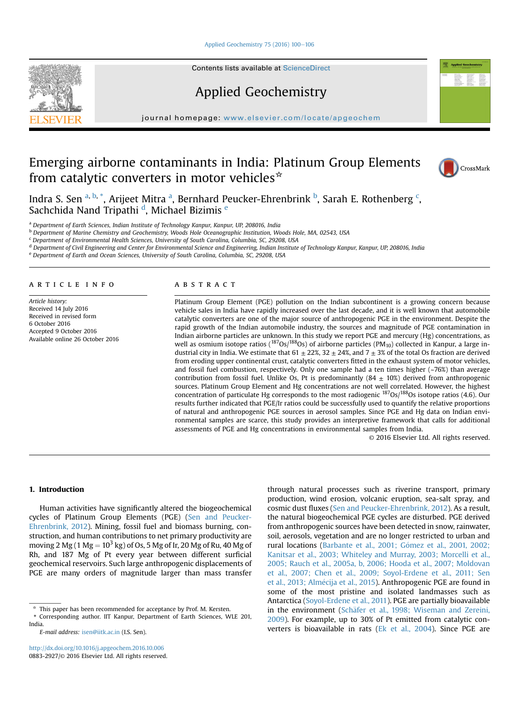Applied Geochemistry 75 (2016) 100-106

Contents lists available at ScienceDirect

Applied Geochemistry

journal homepage: www.elsevier.com/locate/apgeochem

# Emerging airborne contaminants in India: Platinum Group Elements from catalytic converters in motor vehicles $*$



Indra S. Sen <sup>a, b, \*</sup>, Arijeet Mitra <sup>a</sup>, Bernhard Peucker-Ehrenbrink <sup>b</sup>, Sarah E. Rothenberg <sup>c</sup>, Sachchida Nand Tripathi <sup>d</sup>, Michael Bizimis <sup>e</sup>

a Department of Earth Sciences, Indian Institute of Technology Kanpur, Kanpur, UP, 208016, India

<sup>b</sup> Department of Marine Chemistry and Geochemistry, Woods Hole Oceanographic Institution, Woods Hole, MA, 02543, USA

 $c$  Department of Environmental Health Sciences, University of South Carolina, Columbia, SC, 29208, USA

<sup>d</sup> Department of Civil Engineering and Center for Environmental Science and Engineering, Indian Institute of Technology Kanpur, Kanpur, UP, 208016, India

<sup>e</sup> Department of Earth and Ocean Sciences, University of South Carolina, Columbia, SC, 29208, USA

# article info

Article history: Received 14 July 2016 Received in revised form 6 October 2016 Accepted 9 October 2016 Available online 26 October 2016

# ABSTRACT

Platinum Group Element (PGE) pollution on the Indian subcontinent is a growing concern because vehicle sales in India have rapidly increased over the last decade, and it is well known that automobile catalytic converters are one of the major source of anthropogenic PGE in the environment. Despite the rapid growth of the Indian automobile industry, the sources and magnitude of PGE contamination in Indian airborne particles are unknown. In this study we report PGE and mercury (Hg) concentrations, as well as osmium isotope ratios ( $187Os/188Os$ ) of airborne particles (PM<sub>10</sub>) collected in Kanpur, a large industrial city in India. We estimate that 61  $\pm$  22%, 32  $\pm$  24%, and 7  $\pm$  3% of the total Os fraction are derived from eroding upper continental crust, catalytic converters fitted in the exhaust system of motor vehicles, and fossil fuel combustion, respectively. Only one sample had a ten times higher  $(-76%)$  than average contribution from fossil fuel. Unlike Os, Pt is predominantly  $(84 \pm 10\%)$  derived from anthropogenic sources. Platinum Group Element and Hg concentrations are not well correlated. However, the highest concentration of particulate Hg corresponds to the most radiogenic  $^{187}$ Os/ $^{188}$ Os isotope ratios (4.6). Our results further indicated that PGE/Ir ratios could be successfully used to quantify the relative proportions of natural and anthropogenic PGE sources in aerosol samples. Since PGE and Hg data on Indian environmental samples are scarce, this study provides an interpretive framework that calls for additional assessments of PGE and Hg concentrations in environmental samples from India.

© 2016 Elsevier Ltd. All rights reserved.

# 1. Introduction

Human activities have significantly altered the biogeochemical cycles of Platinum Group Elements (PGE) (Sen and Peucker-Ehrenbrink, 2012). Mining, fossil fuel and biomass burning, construction, and human contributions to net primary productivity are moving 2 Mg (1 Mg  $= 10^3$  kg) of Os, 5 Mg of Ir, 20 Mg of Ru, 40 Mg of Rh, and 187 Mg of Pt every year between different surficial geochemical reservoirs. Such large anthropogenic displacements of PGE are many orders of magnitude larger than mass transfer through natural processes such as riverine transport, primary production, wind erosion, volcanic eruption, sea-salt spray, and cosmic dust fluxes (Sen and Peucker-Ehrenbrink, 2012). As a result, the natural biogeochemical PGE cycles are disturbed. PGE derived from anthropogenic sources have been detected in snow, rainwater, soil, aerosols, vegetation and are no longer restricted to urban and rural locations (Barbante et al., 2001; Gómez et al., 2001, 2002; Kanitsar et al., 2003; Whiteley and Murray, 2003; Morcelli et al., 2005; Rauch et al., 2005a, b, 2006; Hooda et al., 2007; Moldovan et al., 2007; Chen et al., 2009; Soyol-Erdene et al., 2011; Sen et al., 2013; Almécija et al., 2015). Anthropogenic PGE are found in some of the most pristine and isolated landmasses such as Antarctica (Soyol-Erdene et al., 2011). PGE are partially bioavailable in the environment (Schäfer et al., 1998; Wiseman and Zereini, 2009). For example, up to 30% of Pt emitted from catalytic converters is bioavailable in rats (Ek et al., 2004). Since PGE are



 $*$  This paper has been recommended for acceptance by Prof. M. Kersten.

<sup>\*</sup> Corresponding author. IIT Kanpur, Department of Earth Sciences, WLE 201, India.

E-mail address: isen@iitk.ac.in (I.S. Sen).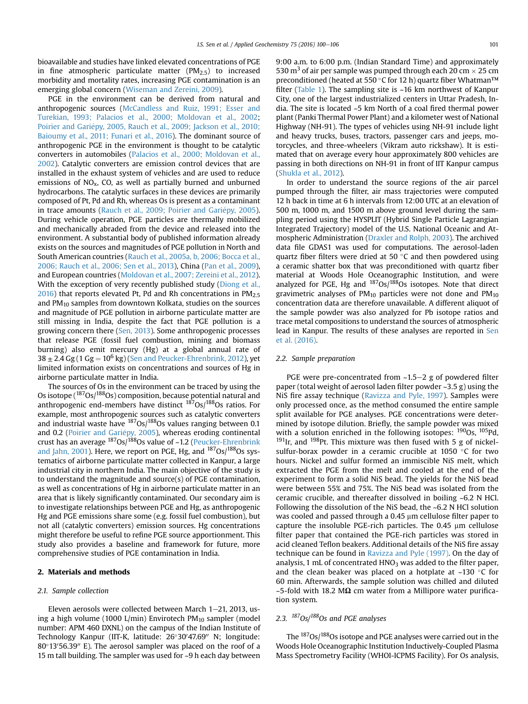bioavailable and studies have linked elevated concentrations of PGE in fine atmospheric particulate matter  $(PM<sub>2.5</sub>)$  to increased morbidity and mortality rates, increasing PGE contamination is an emerging global concern (Wiseman and Zereini, 2009).

PGE in the environment can be derived from natural and anthropogenic sources (McCandless and Ruiz, 1991; Esser and Turekian, 1993; Palacios et al., 2000; Moldovan et al., 2002; Poirier and Gariépy, 2005, Rauch et al., 2009; Jackson et al., 2010; Baioumy et al., 2011; Funari et al., 2016). The dominant source of anthropogenic PGE in the environment is thought to be catalytic converters in automobiles (Palacios et al., 2000; Moldovan et al., 2002). Catalytic converters are emission control devices that are installed in the exhaust system of vehicles and are used to reduce emissions of  $NO<sub>x</sub>$ , CO, as well as partially burned and unburned hydrocarbons. The catalytic surfaces in these devices are primarily composed of Pt, Pd and Rh, whereas Os is present as a contaminant in trace amounts (Rauch et al., 2009; Poirier and Gariépy, 2005). During vehicle operation, PGE particles are thermally mobilized and mechanically abraded from the device and released into the environment. A substantial body of published information already exists on the sources and magnitudes of PGE pollution in North and South American countries (Rauch et al., 2005a, b, 2006; Bocca et al., 2006; Rauch et al., 2006; Sen et al., 2013), China (Pan et al., 2009), and European countries (Moldovan et al., 2007; Zereini et al., 2012). With the exception of very recently published study (Diong et al., 2016) that reports elevated Pt, Pd and Rh concentrations in  $PM<sub>2.5</sub>$ and  $PM_{10}$  samples from downtown Kolkata, studies on the sources and magnitude of PGE pollution in airborne particulate matter are still missing in India, despite the fact that PGE pollution is a growing concern there (Sen, 2013). Some anthropogenic processes that release PGE (fossil fuel combustion, mining and biomass burning) also emit mercury (Hg) at a global annual rate of  $38 \pm 2.4$  Gg (1 Gg =  $10^6$  kg) (Sen and Peucker-Ehrenbrink, 2012), yet limited information exists on concentrations and sources of Hg in airborne particulate matter in India.

The sources of Os in the environment can be traced by using the Os isotope ( $187$ Os/ $188$ Os) composition, because potential natural and anthropogenic end-members have distinct  $187Os/188Os$  ratios. For example, most anthropogenic sources such as catalytic converters and industrial waste have  $^{187}$ Os/ $^{188}$ Os values ranging between 0.1 and 0.2 (Poirier and Gariépy, 2005), whereas eroding continental crust has an average <sup>187</sup>Os/<sup>188</sup>Os value of ~1.2 (Peucker-Ehrenbrink and Jahn, 2001). Here, we report on PGE, Hg, and <sup>187</sup>Os/<sup>188</sup>Os systematics of airborne particulate matter collected in Kanpur, a large industrial city in northern India. The main objective of the study is to understand the magnitude and source(s) of PGE contamination, as well as concentrations of Hg in airborne particulate matter in an area that is likely significantly contaminated. Our secondary aim is to investigate relationships between PGE and Hg, as anthropogenic Hg and PGE emissions share some (e.g. fossil fuel combustion), but not all (catalytic converters) emission sources. Hg concentrations might therefore be useful to refine PGE source apportionment. This study also provides a baseline and framework for future, more comprehensive studies of PGE contamination in India.

# 2. Materials and methods

#### 2.1. Sample collection

Eleven aerosols were collected between March  $1-21$ , 2013, using a high volume (1000 L/min) Envirotech PM $_{10}$  sampler (model number: APM 460 DXNL) on the campus of the Indian Institute of Technology Kanpur (IIT-K, latitude: 26°30'47.69" N; longitude: 80°13′56.39″ E). The aerosol sampler was placed on the roof of a 15 m tall building. The sampler was used for ~9 h each day between 9:00 a.m. to 6:00 p.m. (Indian Standard Time) and approximately 530 m<sup>3</sup> of air per sample was pumped through each 20 cm  $\times$  25 cm preconditioned (heated at 550 °C for 12 h) quartz fiber Whatman™ filter (Table 1). The sampling site is ~16 km northwest of Kanpur City, one of the largest industrialized centers in Uttar Pradesh, India. The site is located ~5 km North of a coal fired thermal power plant (Panki Thermal Power Plant) and a kilometer west of National Highway (NH-91). The types of vehicles using NH-91 include light and heavy trucks, buses, tractors, passenger cars and jeeps, motorcycles, and three-wheelers (Vikram auto rickshaw). It is estimated that on average every hour approximately 800 vehicles are passing in both directions on NH-91 in front of IIT Kanpur campus (Shukla et al., 2012).

In order to understand the source regions of the air parcel pumped through the filter, air mass trajectories were computed 12 h back in time at 6 h intervals from 12:00 UTC at an elevation of 500 m, 1000 m, and 1500 m above ground level during the sampling period using the HYSPLIT (Hybrid Single Particle Lagrangian Integrated Trajectory) model of the U.S. National Oceanic and Atmospheric Administration (Draxler and Rolph, 2003). The archived data file GDAS1 was used for computations. The aerosol-laden quartz fiber filters were dried at 50 $\degree$ C and then powdered using a ceramic shatter box that was preconditioned with quartz fiber material at Woods Hole Oceanographic Institution, and were analyzed for PGE, Hg and  $187Os/188Os$  isotopes. Note that direct gravimetric analyses of  $PM_{10}$  particles were not done and  $PM_{10}$ concentration data are therefore unavailable. A different aliquot of the sample powder was also analyzed for Pb isotope ratios and trace metal compositions to understand the sources of atmospheric lead in Kanpur. The results of these analyses are reported in Sen et al. (2016).

# 2.2. Sample preparation

PGE were pre-concentrated from  $\sim$ 1.5–2 g of powdered filter paper (total weight of aerosol laden filter powder ~3.5 g) using the NiS fire assay technique (Ravizza and Pyle, 1997). Samples were only processed once, as the method consumed the entire sample split available for PGE analyses. PGE concentrations were determined by isotope dilution. Briefly, the sample powder was mixed with a solution enriched in the following isotopes:  $190$ Os,  $105$ Pd,  $191$ Ir, and  $198$ Pt. This mixture was then fused with 5 g of nickelsulfur-borax powder in a ceramic crucible at 1050  $\,^{\circ}$ C for two hours. Nickel and sulfur formed an immiscible NiS melt, which extracted the PGE from the melt and cooled at the end of the experiment to form a solid NiS bead. The yields for the NiS bead were between 55% and 75%. The NiS bead was isolated from the ceramic crucible, and thereafter dissolved in boiling ~6.2 N HCl. Following the dissolution of the NiS bead, the ~6.2 N HCl solution was cooled and passed through a  $0.45 \mu m$  cellulose filter paper to capture the insoluble PGE-rich particles. The  $0.45 \mu m$  cellulose filter paper that contained the PGE-rich particles was stored in acid cleaned Teflon beakers. Additional details of the NiS fire assay technique can be found in Ravizza and Pyle (1997). On the day of analysis, 1 mL of concentrated  $HNO<sub>3</sub>$  was added to the filter paper, and the clean beaker was placed on a hotplate at  $\sim$ 130  $\degree$ C for 60 min. Afterwards, the sample solution was chilled and diluted  $\sim$ 5-fold with 18.2 M $\Omega$  cm water from a Millipore water purification system.

# 2.3.  $187$ Os/ $188$ Os and PGE analyses

The 187Os/188Os isotope and PGE analyses were carried out in the Woods Hole Oceanographic Institution Inductively-Coupled Plasma Mass Spectrometry Facility (WHOI-ICPMS Facility). For Os analysis,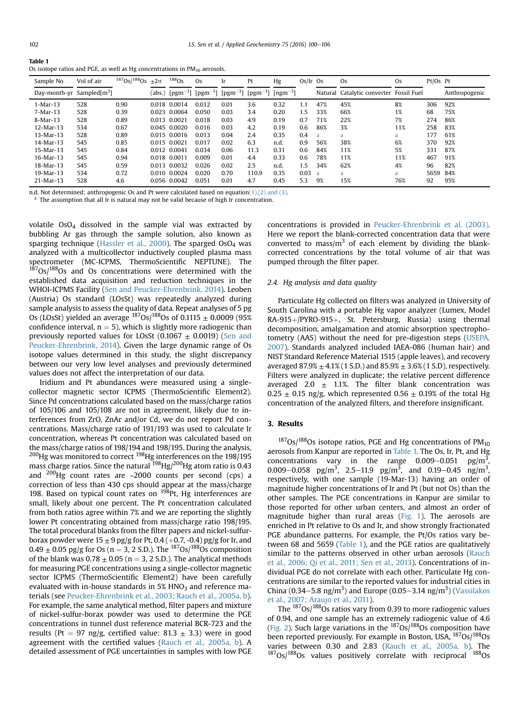|--|

Os isotope ratios and PGE, as well as Hg concentrations in  $PM_{10}$  aerosols.

| Sample No                    | Vol of air | $187$ Os/ $188$ Os $\pm 2\sigma$ |        | $188$ Os                  | Os.   | Ir   | Pt                        | Hg                                  | $Os/Ir$ Os |         | <b>Os</b>                       | Os  | Pt/Os Pt |               |
|------------------------------|------------|----------------------------------|--------|---------------------------|-------|------|---------------------------|-------------------------------------|------------|---------|---------------------------------|-----|----------|---------------|
| Day-month-yr Sampled $[m^3]$ |            |                                  | (abs.) | $[pgm^{-3}]$ $[pgm^{-3}]$ |       |      | $[pgm^{-3}]$ $[pgm^{-3}]$ | $\lceil$ ngm <sup>-3</sup> $\rceil$ |            | Natural | Catalytic converter Fossil Fuel |     |          | Anthropogenic |
| $1-Mar-13$                   | 528        | 0.90                             | 0.018  | 0.0014                    | 0.012 | 0.01 | 3.6                       | 0.32                                | 1.1        | 47%     | 45%                             | 8%  | 306      | 92%           |
| $7-Mar-13$                   | 528        | 0.39                             | 0.023  | 0.0064                    | 0.050 | 0.03 | 3.4                       | 0.20                                | 1.5        | 33%     | 66%                             | 1%  | 68       | 75%           |
| 8-Mar-13                     | 528        | 0.89                             |        | 0.013 0.0021              | 0.018 | 0.03 | 4.9                       | 0.19                                | 0.7        | 71%     | 22%                             | 7%  | 274      | 86%           |
| $12-Mar-13$                  | 534        | 0.67                             | 0.045  | 0.0020                    | 0.016 | 0.03 | 4.2                       | 0.19                                | 0.6        | 86%     | 3%                              | 11% | 258      | 83%           |
| 13-Mar-13                    | 528        | 0.89                             |        | 0.015 0.0016              | 0.013 | 0.04 | 2.4                       | 0.35                                | 0.4        | a       | a                               | a   | 177      | 61%           |
| 14-Mar-13                    | 545        | 0.85                             |        | 0.015 0.0021              | 0.017 | 0.02 | 6.3                       | n.d.                                | 0.9        | 56%     | 38%                             | 6%  | 370      | 92%           |
| $15-Mar-13$                  | 545        | 0.84                             |        | 0.012 0.0041              | 0.034 | 0.06 | 11.3                      | 0.31                                | 0.6        | 84%     | 11%                             | 5%  | 331      | 87%           |
| $16-Mar-13$                  | 545        | 0.94                             |        | 0.018 0.0011              | 0.009 | 0.01 | 4.4                       | 0.33                                | 0.6        | 78%     | 11%                             | 11% | 467      | 91%           |
| 18-Mar-13                    | 545        | 0.59                             |        | 0.013 0.0032              | 0.026 | 0.02 | 2.5                       | n.d.                                | 1.5        | 34%     | 62%                             | 4%  | 96       | 82%           |
| $19-Mar-13$                  | 534        | 0.72                             |        | 0.010 0.0024              | 0.020 | 0.70 | 110.9                     | 0.35                                | 0.03       | - a     |                                 | a   | 5659     | 84%           |
| $21-Mar-13$                  | 528        | 4.6                              |        | 0.056 0.0042              | 0.051 | 0.01 | 4.7                       | 0.45                                | 5.3        | 9%      | 15%                             | 76% | 92       | 95%           |

n.d. Not determined; anthropogenic Os and Pt were calculated based on equation $(1)$ , $(2)$  and  $(3)$ .

 $a$  The assumption that all Ir is natural may not be valid because of high Ir concentration.

volatile OsO4 dissolved in the sample vial was extracted by bubbling Ar gas through the sample solution, also known as sparging technique (Hassler et al., 2000). The sparged  $OSO<sub>4</sub>$  was analyzed with a multicollector inductively coupled plasma mass spectrometer (MC-ICPMS, ThermoScientific NEPTUNE). The  $187$ Os/ $188$ Os and Os concentrations were determined with the established data acquisition and reduction techniques in the WHOI-ICPMS Facility (Sen and Peucker-Ehrenbrink, 2014). Leoben (Austria) Os standard (LOsSt) was repeatedly analyzed during sample analysis to assess the quality of data. Repeat analyses of 5 pg Os (LOsSt) yielded an average  $^{187}$ Os/ $^{188}$ Os of 0.1115  $\pm$  0.0009 (95%) confidence interval,  $n = 5$ ), which is slightly more radiogenic than previously reported values for LOsSt (0.1067  $\pm$  0.0019) (Sen and Peucker-Ehrenbrink, 2014). Given the large dynamic range of Os isotope values determined in this study, the slight discrepancy between our very low level analyses and previously determined values does not affect the interpretation of our data.

Iridium and Pt abundances were measured using a singlecollector magnetic sector ICPMS (ThermoScientific Element2). Since Pd concentrations calculated based on the mass/charge ratios of 105/106 and 105/108 are not in agreement, likely due to interferences from ZrO, ZnAr and/or Cd, we do not report Pd concentrations. Mass/charge ratio of 191/193 was used to calculate Ir concentration, whereas Pt concentration was calculated based on the mass/charge ratios of 198/194 and 198/195. During the analysis,  $200$ Hg was monitored to correct  $198$ Hg interferences on the 198/195 mass charge ratios. Since the natural  $^{198}$ Hg/ $^{200}$ Hg atom ratio is 0.43 and  $^{200}$ Hg count rates are ~2000 counts per second (cps) a correction of less than 430 cps should appear at the mass/charge 198. Based on typical count rates on  $198$ Pt, Hg interferences are small, likely about one percent. The Pt concentration calculated from both ratios agree within 7% and we are reporting the slightly lower Pt concentrating obtained from mass/charge ratio 198/195. The total procedural blanks from the filter papers and nickel-sulfurborax powder were  $15 \pm 9$  pg/g for Pt, 0.4 (+0.7, -0.4) pg/g for Ir, and  $0.49 \pm 0.05$  pg/g for Os (n = 3, 2 S.D.). The  $^{187}$ Os/ $^{188}$ Os composition of the blank was  $0.78 \pm 0.05$  (n = 3, 2 S.D.). The analytical methods for measuring PGE concentrations using a single-collector magnetic sector ICPMS (ThermoScientific Element2) have been carefully evaluated with in-house standards in  $5\%$  HNO<sub>3</sub> and reference materials (see Peucker-Ehrenbrink et al., 2003; Rauch et al., 2005a, b). For example, the same analytical method, filter papers and mixture of nickel-sulfur-borax powder was used to determine the PGE concentrations in tunnel dust reference material BCR-723 and the results (Pt = 97 ng/g, certified value: 81.3  $\pm$  3.3) were in good agreement with the certified values (Rauch et al., 2005a, b). A detailed assessment of PGE uncertainties in samples with low PGE concentrations is provided in Peucker-Ehrenbrink et al. (2003). Here we report the blank-corrected concentration data that were converted to mass/ $m<sup>3</sup>$  of each element by dividing the blankcorrected concentrations by the total volume of air that was pumped through the filter paper.

# 2.4. Hg analysis and data quality

Particulate Hg collected on filters was analyzed in University of South Carolina with a portable Hg vapor analyzer (Lumex, Model RA-915+/PYRO-915+, St. Petersburg, Russia) using thermal decomposition, amalgamation and atomic absorption spectrophotometry (AAS) without the need for pre-digestion steps (USEPA, 2007). Standards analyzed included IAEA-086 (human hair) and NIST Standard Reference Material 1515 (apple leaves), and recovery averaged  $87.9\% \pm 4.1\%$  (1 S.D.) and  $85.9\% \pm 3.6\%$  (1 S.D), respectively. Filters were analyzed in duplicate; the relative percent difference averaged 2.0  $\pm$  1.1%. The filter blank concentration was  $0.25 \pm 0.15$  ng/g, which represented  $0.56 \pm 0.19$ % of the total Hg concentration of the analyzed filters, and therefore insignificant.

# 3. Results

 $187$ Os/ $188$ Os isotope ratios, PGE and Hg concentrations of PM<sub>10</sub> aerosols from Kanpur are reported in Table 1. The Os, Ir, Pt, and Hg concentrations vary in the range 0.009–0.051  $pg/m<sup>3</sup>$ , 0.009–0.058 pg/m<sup>3</sup>, 2.5–11.9 pg/m<sup>3</sup>, and 0.19–0.45 ng/m<sup>3</sup>, respectively, with one sample (19-Mar-13) having an order of magnitude higher concentrations of Ir and Pt (but not Os) than the other samples. The PGE concentrations in Kanpur are similar to those reported for other urban centers, and almost an order of magnitude higher than rural areas (Fig. 1). The aerosols are enriched in Pt relative to Os and Ir, and show strongly fractionated PGE abundance patterns. For example, the Pt/Os ratios vary between 68 and 5659 (Table 1), and the PGE ratios are qualitatively similar to the patterns observed in other urban aerosols (Rauch et al., 2006; Qi et al., 2011; Sen et al., 2013). Concentrations of individual PGE do not correlate with each other. Particulate Hg concentrations are similar to the reported values for industrial cities in China (0.34–5.8 ng/m<sup>3</sup>) and Europe (0.05–3.14 ng/m<sup>3</sup>) (Vassilakos et al., 2007; Araujo et al., 2011).

The 187Os/188Os ratios vary from 0.39 to more radiogenic values of 0.94, and one sample has an extremely radiogenic value of 4.6 (Fig. 2). Such large variations in the  $187Os/188Os$  composition have been reported previously. For example in Boston, USA,  $187Os/188Os$ varies between 0.30 and 2.83 (Rauch et al., 2005a, b). The  $187$ Os/ $188$ Os values positively correlate with reciprocal  $188$ Os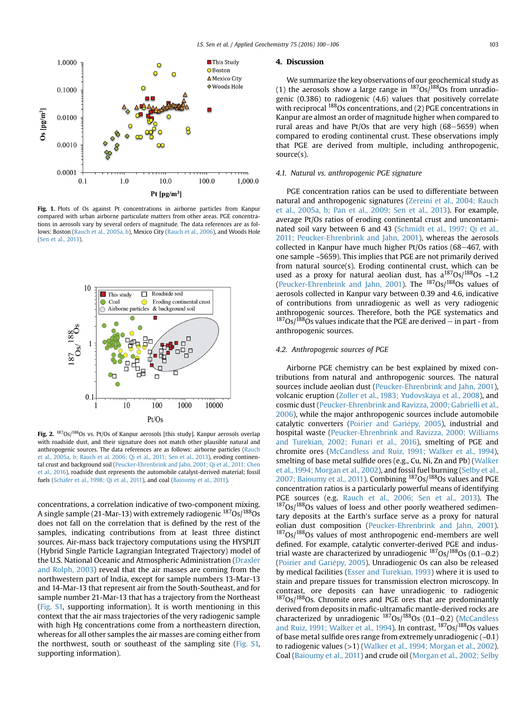

Fig. 1. Plots of Os against Pt concentrations in airborne particles from Kanpur compared with urban airborne particulate matters from other areas. PGE concentrations in aerosols vary by several orders of magnitude. The data references are as follows: Boston (Rauch et al., 2005a, b), Mexico City (Rauch et al., 2006), and Woods Hole (Sen et al., 2013).



Fig. 2.  $^{187}$ Os/ $^{188}$ Os vs. Pt/Os of Kanpur aerosols [this study]. Kanpur aerosols overlap with roadside dust, and their signature does not match other plausible natural and anthropogenic sources. The data references are as follows: airborne particles (Rauch et al., 2005a, b; Rauch et al. 2006; Qi et al., 2011; Sen et al., 2013), eroding continental crust and background soil (Peucker-Ehrenbrink and Jahn, 2001; Qi et al., 2011; Chen et al., 2016), roadside dust represents the automobile catalyst-derived material; fossil fuels (Schäfer et al., 1998; Qi et al., 2011), and coal (Baioumy et al., 2011).

concentrations, a correlation indicative of two-component mixing. A single sample (21-Mar-13) with extremely radiogenic  $187Os/188Os$ does not fall on the correlation that is defined by the rest of the samples, indicating contributions from at least three distinct sources. Air-mass back trajectory computations using the HYSPLIT (Hybrid Single Particle Lagrangian Integrated Trajectory) model of the U.S. National Oceanic and Atmospheric Administration (Draxler and Rolph, 2003) reveal that the air masses are coming from the northwestern part of India, except for sample numbers 13-Mar-13 and 14-Mar-13 that represent air from the South-Southeast, and for sample number 21-Mar-13 that has a trajectory from the Northeast (Fig. S1, supporting information). It is worth mentioning in this context that the air mass trajectories of the very radiogenic sample with high Hg concentrations come from a northeastern direction, whereas for all other samples the air masses are coming either from the northwest, south or southeast of the sampling site (Fig. S1, supporting information).

#### 4. Discussion

We summarize the key observations of our geochemical study as (1) the aerosols show a large range in  $^{187}Os/188Os$  from unradiogenic (0.386) to radiogenic (4.6) values that positively correlate with reciprocal <sup>188</sup>Os concentrations, and (2) PGE concentrations in Kanpur are almost an order of magnitude higher when compared to rural areas and have Pt/Os that are very high  $(68-5659)$  when compared to eroding continental crust. These observations imply that PGE are derived from multiple, including anthropogenic, source(s).

# 4.1. Natural vs. anthropogenic PGE signature

PGE concentration ratios can be used to differentiate between natural and anthropogenic signatures (Zereini et al., 2004; Rauch et al., 2005a, b; Pan et al., 2009; Sen et al., 2013). For example, average Pt/Os ratios of eroding continental crust and uncontaminated soil vary between 6 and 43 (Schmidt et al., 1997; Qi et al., 2011; Peucker-Ehrenbrink and Jahn, 2001), whereas the aerosols collected in Kanpur have much higher Pt/Os ratios  $(68-467, \text{ with}$ one sample ~5659). This implies that PGE are not primarily derived from natural source(s). Eroding continental crust, which can be used as a proxy for natural aeolian dust, has  $a^{187}Os/188}Os ~1.2$ (Peucker-Ehrenbrink and Jahn, 2001). The  $187Os/188Os$  values of aerosols collected in Kanpur vary between 0.39 and 4.6, indicative of contributions from unradiogenic as well as very radiogenic anthropogenic sources. Therefore, both the PGE systematics and  $187$ Os/ $188\overline{O}$ s values indicate that the PGE are derived – in part - from anthropogenic sources.

# 4.2. Anthropogenic sources of PGE

Airborne PGE chemistry can be best explained by mixed contributions from natural and anthropogenic sources. The natural sources include aeolian dust (Peucker-Ehrenbrink and Jahn, 2001), volcanic eruption (Zoller et al., 1983; Yudovskaya et al., 2008), and cosmic dust (Peucker-Ehrenbrink and Ravizza, 2000; Gabrielli et al., 2006), while the major anthropogenic sources include automobile catalytic converters (Poirier and Gariépy, 2005), industrial and hospital waste (Peucker-Ehrenbrink and Ravizza, 2000; Williams and Turekian, 2002; Funari et al., 2016), smelting of PGE and chromite ores (McCandless and Ruiz, 1991; Walker et al., 1994), smelting of base metal sulfide ores (e.g., Cu, Ni, Zn and Pb) (Walker et al., 1994; Morgan et al., 2002), and fossil fuel burning (Selby et al., 2007; Baioumy et al., 2011). Combining 187Os/188Os values and PGE concentration ratios is a particularly powerful means of identifying PGE sources (e.g. Rauch et al., 2006; Sen et al., 2013). The  $187$ Os/ $188$ Os values of loess and other poorly weathered sedimentary deposits at the Earth's surface serve as a proxy for natural eolian dust composition (Peucker-Ehrenbrink and Jahn, 2001).  $187$ Os/ $188$ Os values of most anthropogenic end-members are well defined. For example, catalytic converter-derived PGE and industrial waste are characterized by unradiogenic  $187Os/188Os$  (0.1-0.2) (Poirier and Gariépy, 2005). Unradiogenic Os can also be released by medical facilities (Esser and Turekian, 1993) where it is used to stain and prepare tissues for transmission electron microscopy. In contrast, ore deposits can have unradiogenic to radiogenic  $187$ Os/ $188$ Os. Chromite ores and PGE ores that are predominantly derived from deposits in mafic-ultramafic mantle-derived rocks are characterized by unradiogenic  $187$ Os/ $188$ Os (0.1-0.2) (McCandless and Ruiz, 1991; Walker et al., 1994). In contrast,  $187Os/188Os$  values of base metal sulfide ores range from extremely unradiogenic (~0.1) to radiogenic values (>1) (Walker et al., 1994; Morgan et al., 2002). Coal (Baioumy et al., 2011) and crude oil (Morgan et al., 2002; Selby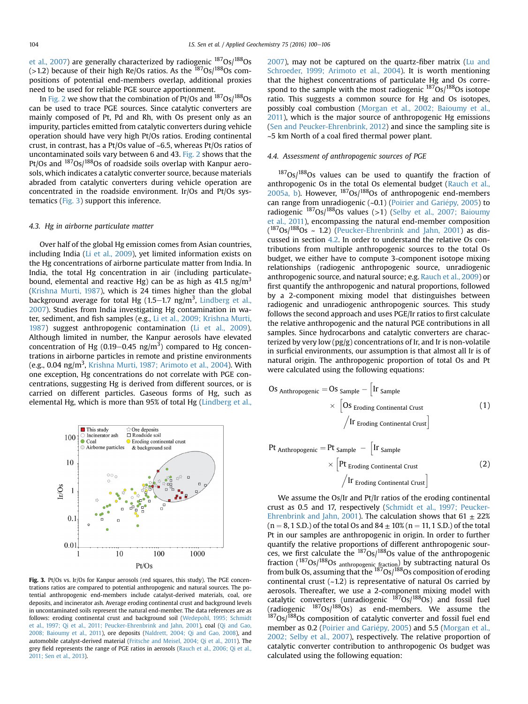et al., 2007) are generally characterized by radiogenic  $^{187}$ Os/ $^{188}$ Os (>1.2) because of their high Re/Os ratios. As the  $187Os/188Os$  compositions of potential end-members overlap, additional proxies need to be used for reliable PGE source apportionment.

In Fig. 2 we show that the combination of Pt/Os and 187Os/188Os can be used to trace PGE sources. Since catalytic converters are mainly composed of Pt, Pd and Rh, with Os present only as an impurity, particles emitted from catalytic converters during vehicle operation should have very high Pt/Os ratios. Eroding continental crust, in contrast, has a Pt/Os value of ~6.5, whereas Pt/Os ratios of uncontaminated soils vary between 6 and 43. Fig. 2 shows that the Pt/Os and <sup>187</sup>Os/<sup>188</sup>Os of roadside soils overlap with Kanpur aerosols, which indicates a catalytic converter source, because materials abraded from catalytic converters during vehicle operation are concentrated in the roadside environment. Ir/Os and Pt/Os systematics (Fig. 3) support this inference.

## 4.3. Hg in airborne particulate matter

Over half of the global Hg emission comes from Asian countries, including India (Li et al., 2009), yet limited information exists on the Hg concentrations of airborne particulate matter from India. In India, the total Hg concentration in air (including particulatebound, elemental and reactive Hg) can be as high as 41.5  $\text{ng/m}^3$ (Krishna Murti, 1987), which is 24 times higher than the global background average for total Hg  $(1.5-1.7 \, \text{ng/m}^3,$  Lindberg et al., 2007). Studies from India investigating Hg contamination in water, sediment, and fish samples (e.g., Li et al., 2009; Krishna Murti, 1987) suggest anthropogenic contamination (Li et al., 2009). Although limited in number, the Kanpur aerosols have elevated concentration of Hg (0.19–0.45 ng/m<sup>3</sup>) compared to Hg concentrations in airborne particles in remote and pristine environments (e.g., 0.04 ng/m<sup>3</sup>, Krishna Murti, 1987; Arimoto et al., 2004). With one exception, Hg concentrations do not correlate with PGE concentrations, suggesting Hg is derived from different sources, or is carried on different particles. Gaseous forms of Hg, such as elemental Hg, which is more than 95% of total Hg (Lindberg et al.,



Fig. 3. Pt/Os vs. Ir/Os for Kanpur aerosols (red squares, this study). The PGE concentrations ratios are compared to potential anthropogenic and natural sources. The potential anthropogenic end-members include catalyst-derived materials, coal, ore deposits, and incinerator ash. Average eroding continental crust and background levels in uncontaminated soils represent the natural end-member. The data references are as follows: eroding continental crust and background soil (Wedepohl, 1995; Schmidt et al., 1997; Qi et al., 2011; Peucker-Ehrenbrink and Jahn, 2001), coal (Qi and Gao, 2008; Baioumy et al., 2011), ore deposits (Naldrett, 2004; Qi and Gao, 2008), and automobile catalyst-derived material (Fritsche and Meisel, 2004; Qi et al., 2011). The grey field represents the range of PGE ratios in aerosols (Rauch et al., 2006; Qi et al., 2011; Sen et al., 2013).

2007), may not be captured on the quartz-fiber matrix (Lu and Schroeder, 1999; Arimoto et al., 2004). It is worth mentioning that the highest concentrations of particulate Hg and Os correspond to the sample with the most radiogenic  $187Os/188Os$  isotope ratio. This suggests a common source for Hg and Os isotopes, possibly coal combustion (Morgan et al., 2002; Baioumy et al., 2011), which is the major source of anthropogenic Hg emissions (Sen and Peucker-Ehrenbrink, 2012) and since the sampling site is ~5 km North of a coal fired thermal power plant.

## 4.4. Assessment of anthropogenic sources of PGE

 $187$ Os/ $188$ Os values can be used to quantify the fraction of anthropogenic Os in the total Os elemental budget (Rauch et al., 2005a, b). However,  $187Os/188Os$  of anthropogenic end-members can range from unradiogenic (~0.1) (Poirier and Gariépy, 2005) to radiogenic  $187Os/188Os$  values (>1) (Selby et al., 2007; Baioumy et al., 2011), encompassing the natural end-member composition  $(^{187}Os/^{188}Os \sim 1.2)$  (Peucker-Ehrenbrink and Jahn, 2001) as discussed in section 4.2. In order to understand the relative Os contributions from multiple anthropogenic sources to the total Os budget, we either have to compute 3-component isotope mixing relationships (radiogenic anthropogenic source, unradiogenic anthropogenic source, and natural source; e.g. Rauch et al., 2009) or first quantify the anthropogenic and natural proportions, followed by a 2-component mixing model that distinguishes between radiogenic and unradiogenic anthropogenic sources. This study follows the second approach and uses PGE/Ir ratios to first calculate the relative anthropogenic and the natural PGE contributions in all samples. Since hydrocarbons and catalytic converters are characterized by very low (pg/g) concentrations of Ir, and Ir is non-volatile in surficial environments, our assumption is that almost all Ir is of natural origin. The anthropogenic proportion of total Os and Pt were calculated using the following equations:

$$
OS
$$
 Anthropogenic =  $OS$  Sample  $\begin{bmatrix} Ir$  Sample  
×  $\begin{bmatrix} Os$  Eroding Continental Crust \end{bmatrix} \end{bmatrix} (1)  
 $\begin{bmatrix} Ir$  Eroding Continental Crust

Pt Anthropogenic = Pt Sample 
$$
-\left[Ir \text{ Sample}\right]
$$

$$
\times \left[Pt \text{ Eroding Continental crust}\right]
$$
 (2)

h

 $\sqrt{\text{Ir}}$  Eroding Continental Crust

We assume the Os/Ir and Pt/Ir ratios of the eroding continental crust as 0.5 and 17, respectively (Schmidt et al., 1997; Peucker-Ehrenbrink and Jahn, 2001). The calculation shows that  $61 \pm 22\%$  $(n = 8, 1 S.D.)$  of the total Os and  $84 \pm 10\%$  (n = 11, 1 S.D.) of the total Pt in our samples are anthropogenic in origin. In order to further quantify the relative proportions of different anthropogenic sources, we first calculate the  $187Os/188Os$  value of the anthropogenic fraction  $(^{187}Os/^{188}Os$  anthropogenic fraction) by subtracting natural Os from bulk Os, assuming that the <sup>187</sup>Os/<sup>188</sup>Os composition of eroding continental crust  $(-1.2)$  is representative of natural Os carried by aerosols. Thereafter, we use a 2-component mixing model with catalytic converters (unradiogenic  $187Os/188Os$ ) and fossil fuel (radiogenic  $^{187}Os/^{188}Os$ ) as end-members. We assume the <sup>187</sup>Os/<sup>188</sup>Os composition of catalytic converter and fossil fuel end member as 0.2 (Poirier and Gariépy, 2005) and 5.5 (Morgan et al., 2002; Selby et al., 2007), respectively. The relative proportion of catalytic converter contribution to anthropogenic Os budget was calculated using the following equation: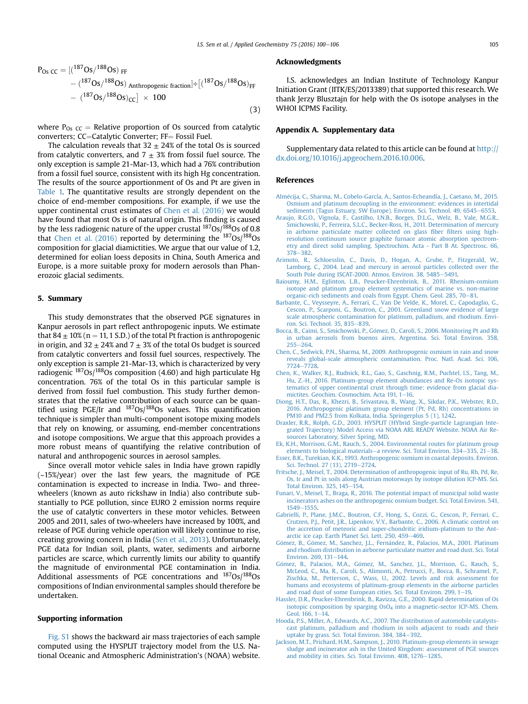$$
P_{Os \, CC} = \left[(^{187}Os/^{188}Os) \, \text{FF} \right. \\
- \left. (^{187}Os/^{188}Os) \, \text{Anthropogenic fraction} \right] \div \left[(^{187}Os/^{188}Os) \, \text{FF} \right. \\
- \left. (^{187}Os/^{188}Os)_{CC} \right] \times 100
$$
\n(3)

where  $P_{Os}$   $cc$  = Relative proportion of Os sourced from catalytic converters; CC=Catalytic Converter; FF= Fossil Fuel.

The calculation reveals that  $32 \pm 24\%$  of the total Os is sourced from catalytic converters, and  $7 \pm 3\%$  from fossil fuel source. The only exception is sample 21-Mar-13, which had a 76% contribution from a fossil fuel source, consistent with its high Hg concentration. The results of the source apportionment of Os and Pt are given in Table 1. The quantitative results are strongly dependent on the choice of end-member compositions. For example, if we use the upper continental crust estimates of Chen et al. (2016) we would have found that most Os is of natural origin. This finding is caused by the less radiogenic nature of the upper crustal  $187Os/188Os$  of 0.8 that Chen et al. (2016) reported by determining the  $187$ Os/ $188$ Os composition for glacial diamictities. We argue that our value of 1.2, determined for eolian loess deposits in China, South America and Europe, is a more suitable proxy for modern aerosols than Phanerozoic glacial sediments.

# 5. Summary

This study demonstrates that the observed PGE signatures in Kanpur aerosols in part reflect anthropogenic inputs. We estimate that  $84 \pm 10\%$  (n = 11, 1 S.D.) of the total Pt fraction is anthropogenic in origin, and 32  $\pm$  24% and 7  $\pm$  3% of the total Os budget is sourced from catalytic converters and fossil fuel sources, respectively. The only exception is sample 21-Mar-13, which is characterized by very radiogenic  $^{187}$ Os/ $^{188}$ Os composition (4.60) and high particulate Hg concentration. 76% of the total Os in this particular sample is derived from fossil fuel combustion. This study further demonstrates that the relative contribution of each source can be quantified using PGE/Ir and  $^{187}Os/^{188}Os$  values. This quantification technique is simpler than multi-component isotope mixing models that rely on knowing, or assuming, end-member concentrations and isotope compositions. We argue that this approach provides a more robust means of quantifying the relative contribution of natural and anthropogenic sources in aerosol samples.

Since overall motor vehicle sales in India have grown rapidly (~15%/year) over the last few years, the magnitude of PGE contamination is expected to increase in India. Two- and threewheelers (known as auto rickshaw in India) also contribute substantially to PGE pollution, since EURO 2 emission norms require the use of catalytic converters in these motor vehicles. Between 2005 and 2011, sales of two-wheelers have increased by 100%, and release of PGE during vehicle operation will likely continue to rise, creating growing concern in India (Sen et al., 2013). Unfortunately, PGE data for Indian soil, plants, water, sediments and airborne particles are scarce, which currently limits our ability to quantify the magnitude of environmental PGE contamination in India. Additional assessments of PGE concentrations and  $187$ Os/ $188$ Os compositions of Indian environmental samples should therefore be undertaken.

## Supporting information

Fig. S1 shows the backward air mass trajectories of each sample computed using the HYSPLIT trajectory model from the U.S. National Oceanic and Atmospheric Administration's (NOAA) website.

#### Acknowledgments

I.S. acknowledges an Indian Institute of Technology Kanpur Initiation Grant (IITK/ES/2013389) that supported this research. We thank Jerzy Blusztajn for help with the Os isotope analyses in the WHOI ICPMS Facility.

# Appendix A. Supplementary data

Supplementary data related to this article can be found at http:// dx.doi.org/10.1016/j.apgeochem.2016.10.006.

#### References

- Almecija, C., Sharma, M., Cobelo-García, A., Santos-Echeandía, J., Caetano, M., 2015. Osmium and platinum decoupling in the environment: evidences in intertidal sediments (Tagus Estuary, SW Europe). Environ. Sci. Technol. 49, 6545-6553.
- Araujo, R.G.O., Vignola, F., Castilho, I.N.B., Borges, D.L.G., Welz, B., Vale, M.G.R., Smichowski, P., Ferreira, S.L.C., Becker-Ross, H., 2011. Determination of mercury in airborne particulate matter collected on glass fiber filters using highresolution continuum source graphite furnace atomic absorption spectrometry and direct solid sampling. Spectrochim. Acta - Part B At. Spectrosc. 66, 378-382.
- Arimoto, R., Schloesslin, C., Davis, D., Hogan, A., Grube, P., Fitzgerald, W., Lamborg, C., 2004. Lead and mercury in aerosol particles collected over the South Pole during ISCAT-2000. Atmos. Environ. 38, 5485-5491.
- Baioumy, H.M., Eglinton, L.B., Peucker-Ehrenbrink, B., 2011. Rhenium-osmium isotope and platinum group element systematics of marine vs. non-marine organic-rich sediments and coals from Egypt. Chem. Geol. 285, 70-81.
- Barbante, C., Veysseyre, A., Ferrari, C., Van De Velde, K., Morel, C., Capodaglio, G., Cescon, P., Scarponi, G., Boutron, C., 2001. Greenland snow evidence of large scale atmospheric contamination for platinum, palladium, and rhodium. Environ. Sci. Technol. 35, 835-839.
- Bocca, B., Caimi, S., Smichowski, P., Gomez, D., Caroli, S., 2006. Monitoring Pt and Rh in urban aerosols from buenos aires, Argentina. Sci. Total Environ. 358,  $255 - 264.$
- Chen, C., Sedwick, P.N., Sharma, M., 2009. Anthropogenic osmium in rain and snow reveals global-scale atmospheric contamination. Proc. Natl. Acad. Sci. 106, 7724-7728.
- Chen, K., Walker, R.J., Rudnick, R.L., Gao, S., Gaschnig, R.M., Puchtel, I.S., Tang, M., Hu, Z.-H., 2016. Platinum-group element abundances and Re-Os isotopic systematics of upper continental crust through time: evidence from glacial diamictites. Geochim. Cosmochim. Acta 191, 1-16.
- Diong, H.T., Das, R., Khezri, B., Srivastava, B., Wang, X., Sikdar, P.K., Webster, R.D., 2016. Anthropogenic platinum group element (Pt, Pd, Rh) concentrations in PM10 and PM2.5 from Kolkata, India. Springerplus 5 (1), 1242.
- Draxler, R.R., Rolph, G.D., 2003. HYSPLIT (HYbrid Single-particle Lagrangian Integrated Trajectory) Model Access via NOAA ARL READY Website. NOAA Air Resources Laboratory, Silver Spring, MD.
- Ek, K.H., Morrison, G.M., Rauch, S., 2004. Environmental routes for platinum group elements to biological materials-a review. Sci. Total Environ.  $334-335$ .  $21-38$ .
- Esser, B.K., Turekian, K.K., 1993. Anthropogenic osmium in coastal deposits. Environ. Sci. Technol. 27 (13), 2719-2724.
- Fritsche, J., Meisel, T., 2004. Determination of anthropogenic input of Ru, Rh, Pd, Re, Os, Ir and Pt in soils along Austrian motorways by isotope dilution ICP-MS. Sci. Total Environ. 325, 145-154.
- Funari, V., Meisel, T., Braga, R., 2016. The potential impact of municipal solid waste incinerators ashes on the anthropogenic osmium budget. Sci. Total Environ. 541, 1549-1555
- Gabrielli, P., Plane, J.M.C., Boutron, C.F., Hong, S., Cozzi, G., Cescon, P., Ferrari, C., Crutzen, P.J., Petit, J.R., Lipenkov, V.Y., Barbante, C., 2006. A climatic control on the accretion of meteoric and super-chondritic iridium-platinum to the Antarctic ice cap. Earth Planet Sci. Lett. 250, 459-469.
- Gómez, B., Gómez, M., Sanchez, J.L., Fernández, R., Palacios, M.A., 2001. Platinum and rhodium distribution in airborne particulate matter and road dust. Sci. Total Environ. 269, 131-144.
- Gómez, B., Palacios, M.A., Gómez, M., Sanchez, J.L., Morrison, G., Rauch, S., McLeod, C., Ma, R., Caroli, S., Alimonti, A., Petrucci, F., Bocca, B., Schramel, P., Zischka, M., Petterson, C., Wass, U., 2002. Levels and risk assessment for humans and ecosystems of platinum-group elements in the airborne particles and road dust of some European cities. Sci. Total Environ. 299, 1-19.
- Hassler, D.R., Peucker-Ehrenbrink, B., Ravizza, G.E., 2000. Rapid determination of Os isotopic composition by sparging OsO4 into a magnetic-sector ICP-MS. Chem. Geol.  $166, 1-14$ .
- Hooda, P.S., Miller, A., Edwards, A.C., 2007. The distribution of automobile catalystscast platinum, palladium and rhodium in soils adjacent to roads and their uptake by grass. Sci. Total Environ. 384, 384-392.
- Jackson, M.T., Prichard, H.M., Sampson, J., 2010. Platinum-group elements in sewage sludge and incinerator ash in the United Kingdom: assessment of PGE sources and mobility in cities. Sci. Total Environ. 408, 1276-1285.